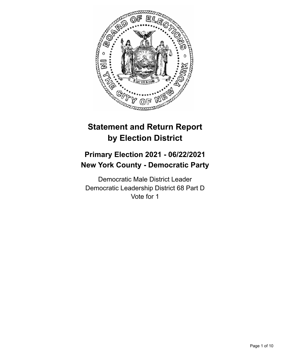

# **Statement and Return Report by Election District**

# **Primary Election 2021 - 06/22/2021 New York County - Democratic Party**

Democratic Male District Leader Democratic Leadership District 68 Part D Vote for 1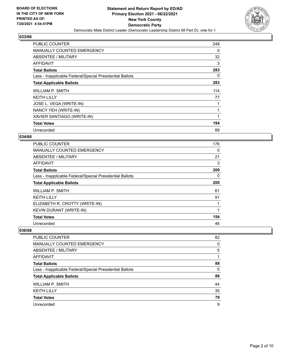

| <b>PUBLIC COUNTER</b>                                    | 248      |
|----------------------------------------------------------|----------|
| <b>MANUALLY COUNTED EMERGENCY</b>                        | 0        |
| ABSENTEE / MILITARY                                      | 32       |
| AFFIDAVIT                                                | 3        |
| <b>Total Ballots</b>                                     | 283      |
| Less - Inapplicable Federal/Special Presidential Ballots | $\Omega$ |
| <b>Total Applicable Ballots</b>                          | 283      |
| WILLIAM P. SMITH                                         | 114      |
| <b>KEITH LILLY</b>                                       | 77       |
| JOSE L. VEGA (WRITE-IN)                                  |          |
| NANCY YEH (WRITE-IN)                                     |          |
| XAVIER SANTIAGO (WRITE-IN)                               | 1        |
| <b>Total Votes</b>                                       | 194      |
| Unrecorded                                               | 89       |

# **034/68**

| <b>PUBLIC COUNTER</b>                                    | 176 |
|----------------------------------------------------------|-----|
| <b>MANUALLY COUNTED EMERGENCY</b>                        | 0   |
| ABSENTEE / MILITARY                                      | 21  |
| <b>AFFIDAVIT</b>                                         | 3   |
| <b>Total Ballots</b>                                     | 200 |
| Less - Inapplicable Federal/Special Presidential Ballots | 0   |
| <b>Total Applicable Ballots</b>                          | 200 |
| <b>WILLIAM P. SMITH</b>                                  | 61  |
| <b>KEITH LILLY</b>                                       | 91  |
| ELIZABETH R. CROTTY (WRITE-IN)                           | 1   |
| <b>KEVIN DURANT (WRITE-IN)</b>                           | 1   |
| <b>Total Votes</b>                                       | 154 |
| Unrecorded                                               | 46  |

| <b>PUBLIC COUNTER</b>                                    | 82       |
|----------------------------------------------------------|----------|
| MANUALLY COUNTED EMERGENCY                               | $\Omega$ |
| <b>ABSENTEE / MILITARY</b>                               | 5        |
| AFFIDAVIT                                                |          |
| <b>Total Ballots</b>                                     | 88       |
| Less - Inapplicable Federal/Special Presidential Ballots | $\Omega$ |
| <b>Total Applicable Ballots</b>                          | 88       |
| WILLIAM P. SMITH                                         | 44       |
| <b>KEITH LILLY</b>                                       | 35       |
| <b>Total Votes</b>                                       | 79       |
| Unrecorded                                               | 9        |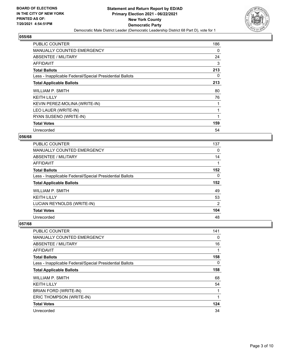

| PUBLIC COUNTER                                           | 186      |
|----------------------------------------------------------|----------|
| <b>MANUALLY COUNTED EMERGENCY</b>                        | 0        |
| ABSENTEE / MILITARY                                      | 24       |
| <b>AFFIDAVIT</b>                                         | 3        |
| <b>Total Ballots</b>                                     | 213      |
| Less - Inapplicable Federal/Special Presidential Ballots | $\Omega$ |
| <b>Total Applicable Ballots</b>                          | 213      |
| WILLIAM P. SMITH                                         | 80       |
| <b>KEITH LILLY</b>                                       | 76       |
| KEVIN PEREZ-MOLINA (WRITE-IN)                            |          |
| LEO LAUER (WRITE-IN)                                     |          |
| RYAN SUSENO (WRITE-IN)                                   | 1        |
| <b>Total Votes</b>                                       | 159      |
| Unrecorded                                               | 54       |

# **056/68**

| <b>PUBLIC COUNTER</b>                                    | 137            |
|----------------------------------------------------------|----------------|
| <b>MANUALLY COUNTED EMERGENCY</b>                        | 0              |
| ABSENTEE / MILITARY                                      | 14             |
| <b>AFFIDAVIT</b>                                         |                |
| <b>Total Ballots</b>                                     | 152            |
| Less - Inapplicable Federal/Special Presidential Ballots | $\Omega$       |
| <b>Total Applicable Ballots</b>                          | 152            |
| WILLIAM P. SMITH                                         | 49             |
| <b>KEITH LILLY</b>                                       | 53             |
| LUCIAN REYNOLDS (WRITE-IN)                               | $\overline{2}$ |
| <b>Total Votes</b>                                       | 104            |
| Unrecorded                                               | 48             |

| PUBLIC COUNTER                                           | 141      |
|----------------------------------------------------------|----------|
| MANUALLY COUNTED EMERGENCY                               | 0        |
| ABSENTEE / MILITARY                                      | 16       |
| AFFIDAVIT                                                | 1        |
| <b>Total Ballots</b>                                     | 158      |
| Less - Inapplicable Federal/Special Presidential Ballots | $\Omega$ |
| <b>Total Applicable Ballots</b>                          | 158      |
| WILLIAM P. SMITH                                         | 68       |
| <b>KEITH LILLY</b>                                       | 54       |
| BRIAN FORD (WRITE-IN)                                    |          |
| ERIC THOMPSON (WRITE-IN)                                 | 1        |
| <b>Total Votes</b>                                       | 124      |
| Unrecorded                                               | 34       |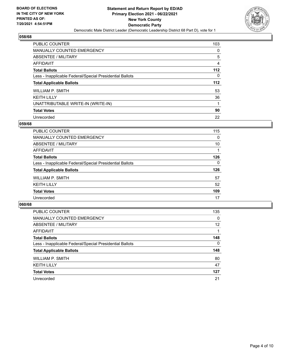

| <b>PUBLIC COUNTER</b>                                    | 103   |
|----------------------------------------------------------|-------|
| <b>MANUALLY COUNTED EMERGENCY</b>                        | 0     |
| ABSENTEE / MILITARY                                      | 5     |
| AFFIDAVIT                                                | 4     |
| <b>Total Ballots</b>                                     | 112   |
| Less - Inapplicable Federal/Special Presidential Ballots | 0     |
| <b>Total Applicable Ballots</b>                          | $112$ |
| WILLIAM P. SMITH                                         | 53    |
| <b>KEITH LILLY</b>                                       | 36    |
| UNATTRIBUTABLE WRITE-IN (WRITE-IN)                       | 1     |
| <b>Total Votes</b>                                       | 90    |
| Unrecorded                                               | 22    |

## **059/68**

| <b>PUBLIC COUNTER</b>                                    | 115      |
|----------------------------------------------------------|----------|
| MANUALLY COUNTED EMERGENCY                               | $\Omega$ |
| ABSENTEE / MILITARY                                      | 10       |
| <b>AFFIDAVIT</b>                                         |          |
| <b>Total Ballots</b>                                     | 126      |
| Less - Inapplicable Federal/Special Presidential Ballots | $\Omega$ |
| <b>Total Applicable Ballots</b>                          | 126      |
| WILLIAM P. SMITH                                         | 57       |
| <b>KEITH LILLY</b>                                       | 52       |
| <b>Total Votes</b>                                       | 109      |
| Unrecorded                                               | 17       |

| <b>PUBLIC COUNTER</b>                                    | 135      |
|----------------------------------------------------------|----------|
| MANUALLY COUNTED EMERGENCY                               | $\Omega$ |
| ABSENTEE / MILITARY                                      | 12       |
| AFFIDAVIT                                                |          |
| <b>Total Ballots</b>                                     | 148      |
| Less - Inapplicable Federal/Special Presidential Ballots | $\Omega$ |
| <b>Total Applicable Ballots</b>                          | 148      |
| WILLIAM P. SMITH                                         | 80       |
| <b>KEITH LILLY</b>                                       | 47       |
| <b>Total Votes</b>                                       | 127      |
| Unrecorded                                               | 21       |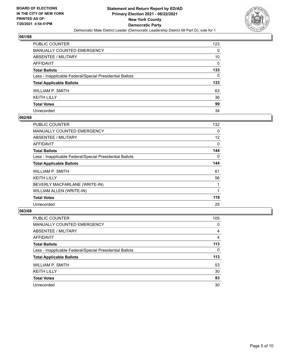

| PUBLIC COUNTER                                           | 123      |
|----------------------------------------------------------|----------|
| <b>MANUALLY COUNTED EMERGENCY</b>                        | 0        |
| <b>ABSENTEE / MILITARY</b>                               | 10       |
| <b>AFFIDAVIT</b>                                         | $\Omega$ |
| <b>Total Ballots</b>                                     | 133      |
| Less - Inapplicable Federal/Special Presidential Ballots | 0        |
| <b>Total Applicable Ballots</b>                          | 133      |
| <b>WILLIAM P. SMITH</b>                                  | 63       |
| <b>KEITH LILLY</b>                                       | 36       |
| <b>Total Votes</b>                                       | 99       |
| Unrecorded                                               | 34       |

## **062/68**

| <b>PUBLIC COUNTER</b>                                    | 132 |
|----------------------------------------------------------|-----|
| <b>MANUALLY COUNTED EMERGENCY</b>                        | 0   |
| <b>ABSENTEE / MILITARY</b>                               | 12  |
| <b>AFFIDAVIT</b>                                         | 0   |
| <b>Total Ballots</b>                                     | 144 |
| Less - Inapplicable Federal/Special Presidential Ballots | 0   |
| <b>Total Applicable Ballots</b>                          | 144 |
| <b>WILLIAM P. SMITH</b>                                  | 61  |
| <b>KEITH LILLY</b>                                       | 56  |
| BEVERLY MACFARLANE (WRITE-IN)                            |     |
| WILLIAM ALLEN (WRITE-IN)                                 |     |
| <b>Total Votes</b>                                       | 119 |
| Unrecorded                                               | 25  |
|                                                          |     |

| <b>PUBLIC COUNTER</b>                                    | 105      |
|----------------------------------------------------------|----------|
| <b>MANUALLY COUNTED EMERGENCY</b>                        | $\Omega$ |
| ABSENTEE / MILITARY                                      | 4        |
| AFFIDAVIT                                                | 4        |
| <b>Total Ballots</b>                                     | 113      |
| Less - Inapplicable Federal/Special Presidential Ballots | 0        |
| <b>Total Applicable Ballots</b>                          | 113      |
| WILLIAM P. SMITH                                         | 53       |
| <b>KEITH LILLY</b>                                       | 30       |
| <b>Total Votes</b>                                       | 83       |
| Unrecorded                                               | 30       |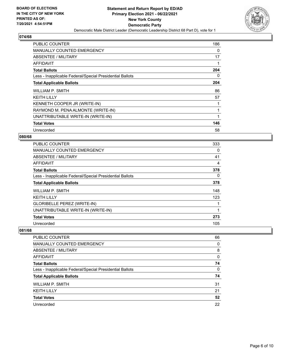

| <b>PUBLIC COUNTER</b>                                    | 186 |
|----------------------------------------------------------|-----|
| <b>MANUALLY COUNTED EMERGENCY</b>                        | 0   |
| <b>ABSENTEE / MILITARY</b>                               | 17  |
| AFFIDAVIT                                                |     |
| <b>Total Ballots</b>                                     | 204 |
| Less - Inapplicable Federal/Special Presidential Ballots | 0   |
| <b>Total Applicable Ballots</b>                          | 204 |
| WILLIAM P. SMITH                                         | 86  |
| <b>KEITH LILLY</b>                                       | 57  |
| KENNETH COOPER JR (WRITE-IN)                             |     |
| RAYMOND M. PENA ALMONTE (WRITE-IN)                       |     |
| UNATTRIBUTABLE WRITE-IN (WRITE-IN)                       |     |
| <b>Total Votes</b>                                       | 146 |
| Unrecorded                                               | 58  |

# **080/68**

| <b>PUBLIC COUNTER</b>                                    | 333      |
|----------------------------------------------------------|----------|
| MANUALLY COUNTED EMERGENCY                               | 0        |
| ABSENTEE / MILITARY                                      | 41       |
| <b>AFFIDAVIT</b>                                         | 4        |
| <b>Total Ballots</b>                                     | 378      |
| Less - Inapplicable Federal/Special Presidential Ballots | $\Omega$ |
| <b>Total Applicable Ballots</b>                          | 378      |
| WILLIAM P. SMITH                                         | 148      |
| <b>KEITH LILLY</b>                                       | 123      |
| GLORIBELLE PEREZ (WRITE-IN)                              |          |
| UNATTRIBUTABLE WRITE-IN (WRITE-IN)                       | 1        |
| <b>Total Votes</b>                                       | 273      |
| Unrecorded                                               | 105      |

| PUBLIC COUNTER                                           | 66       |
|----------------------------------------------------------|----------|
| MANUALLY COUNTED EMERGENCY                               | $\Omega$ |
| ABSENTEE / MILITARY                                      | 8        |
| AFFIDAVIT                                                | 0        |
| <b>Total Ballots</b>                                     | 74       |
| Less - Inapplicable Federal/Special Presidential Ballots | $\Omega$ |
| <b>Total Applicable Ballots</b>                          | 74       |
| <b>WILLIAM P. SMITH</b>                                  | 31       |
| <b>KEITH LILLY</b>                                       | 21       |
| <b>Total Votes</b>                                       | 52       |
| Unrecorded                                               | 22       |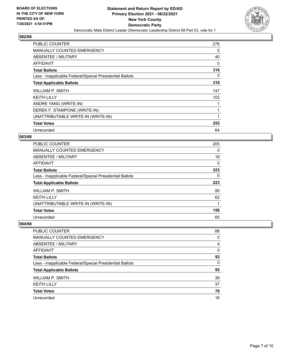

| <b>PUBLIC COUNTER</b>                                    | 276 |
|----------------------------------------------------------|-----|
| <b>MANUALLY COUNTED EMERGENCY</b>                        | 0   |
| <b>ABSENTEE / MILITARY</b>                               | 40  |
| AFFIDAVIT                                                | 0   |
| <b>Total Ballots</b>                                     | 316 |
| Less - Inapplicable Federal/Special Presidential Ballots | 0   |
| <b>Total Applicable Ballots</b>                          | 316 |
| WILLIAM P. SMITH                                         | 147 |
| <b>KEITH LILLY</b>                                       | 102 |
| ANDRE YANG (WRITE-IN)                                    |     |
| DEREK F. STAMPONE (WRITE-IN)                             |     |
| UNATTRIBUTABLE WRITE-IN (WRITE-IN)                       |     |
| <b>Total Votes</b>                                       | 252 |
| Unrecorded                                               | 64  |

# **083/68**

| <b>PUBLIC COUNTER</b>                                    | 205      |
|----------------------------------------------------------|----------|
| MANUALLY COUNTED EMERGENCY                               | 0        |
| ABSENTEE / MILITARY                                      | 18       |
| <b>AFFIDAVIT</b>                                         | $\Omega$ |
| <b>Total Ballots</b>                                     | 223      |
| Less - Inapplicable Federal/Special Presidential Ballots | 0        |
| <b>Total Applicable Ballots</b>                          | 223      |
| WILLIAM P. SMITH                                         | 95       |
| <b>KEITH LILLY</b>                                       | 62       |
| UNATTRIBUTABLE WRITE-IN (WRITE-IN)                       |          |
| <b>Total Votes</b>                                       | 158      |
| Unrecorded                                               | 65       |

| <b>PUBLIC COUNTER</b>                                    | 88 |
|----------------------------------------------------------|----|
| MANUALLY COUNTED EMERGENCY                               | 0  |
| ABSENTEE / MILITARY                                      | 4  |
| AFFIDAVIT                                                | 0  |
| <b>Total Ballots</b>                                     | 92 |
| Less - Inapplicable Federal/Special Presidential Ballots | 0  |
| <b>Total Applicable Ballots</b>                          | 92 |
| WILLIAM P. SMITH                                         | 39 |
| <b>KEITH LILLY</b>                                       | 37 |
| <b>Total Votes</b>                                       | 76 |
| Unrecorded                                               | 16 |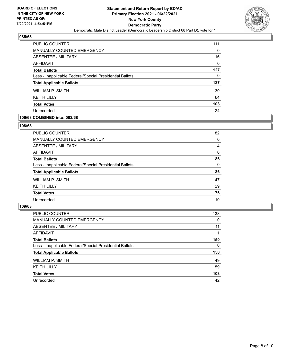

| <b>PUBLIC COUNTER</b>                                    | 111 |
|----------------------------------------------------------|-----|
| MANUALLY COUNTED EMERGENCY                               | 0   |
| ABSENTEE / MILITARY                                      | 16  |
| AFFIDAVIT                                                | 0   |
| <b>Total Ballots</b>                                     | 127 |
| Less - Inapplicable Federal/Special Presidential Ballots | 0   |
| <b>Total Applicable Ballots</b>                          | 127 |
| WILLIAM P. SMITH                                         | 39  |
| <b>KEITH LILLY</b>                                       | 64  |
| <b>Total Votes</b>                                       | 103 |
| Unrecorded                                               | 24  |

## **106/68 COMBINED into: 082/68**

#### **108/68**

| <b>PUBLIC COUNTER</b>                                    | 82       |
|----------------------------------------------------------|----------|
| MANUALLY COUNTED EMERGENCY                               | $\Omega$ |
| ABSENTEE / MILITARY                                      | 4        |
| AFFIDAVIT                                                | $\Omega$ |
| <b>Total Ballots</b>                                     | 86       |
| Less - Inapplicable Federal/Special Presidential Ballots | $\Omega$ |
| <b>Total Applicable Ballots</b>                          | 86       |
| WILLIAM P. SMITH                                         | 47       |
| <b>KEITH LILLY</b>                                       | 29       |
| <b>Total Votes</b>                                       | 76       |
| Unrecorded                                               | 10       |
|                                                          |          |

| <b>PUBLIC COUNTER</b>                                    | 138      |
|----------------------------------------------------------|----------|
| <b>MANUALLY COUNTED EMERGENCY</b>                        | $\Omega$ |
| ABSENTEE / MILITARY                                      | 11       |
| <b>AFFIDAVIT</b>                                         |          |
| <b>Total Ballots</b>                                     | 150      |
| Less - Inapplicable Federal/Special Presidential Ballots | 0        |
| <b>Total Applicable Ballots</b>                          | 150      |
| WILLIAM P. SMITH                                         | 49       |
| <b>KEITH LILLY</b>                                       | 59       |
| <b>Total Votes</b>                                       | 108      |
| Unrecorded                                               | 42       |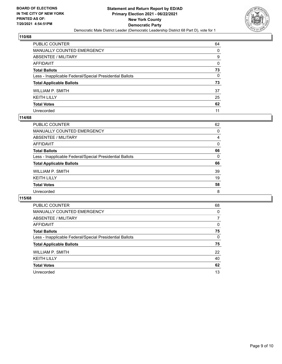

| PUBLIC COUNTER                                           | 64 |
|----------------------------------------------------------|----|
| MANUALLY COUNTED EMERGENCY                               | 0  |
| ABSENTEE / MILITARY                                      | 9  |
| AFFIDAVIT                                                | 0  |
| Total Ballots                                            | 73 |
| Less - Inapplicable Federal/Special Presidential Ballots | 0  |
| <b>Total Applicable Ballots</b>                          | 73 |
| WILLIAM P. SMITH                                         | 37 |
| KEITH LILLY                                              | 25 |
| <b>Total Votes</b>                                       | 62 |
| Unrecorded                                               | 11 |

## **114/68**

| PUBLIC COUNTER                                           | 62       |
|----------------------------------------------------------|----------|
| <b>MANUALLY COUNTED EMERGENCY</b>                        | 0        |
| ABSENTEE / MILITARY                                      | 4        |
| AFFIDAVIT                                                | $\Omega$ |
| <b>Total Ballots</b>                                     | 66       |
| Less - Inapplicable Federal/Special Presidential Ballots | $\Omega$ |
| <b>Total Applicable Ballots</b>                          | 66       |
| WILLIAM P. SMITH                                         | 39       |
| <b>KEITH LILLY</b>                                       | 19       |
| <b>Total Votes</b>                                       | 58       |
| Unrecorded                                               | 8        |

| <b>PUBLIC COUNTER</b>                                    | 68 |
|----------------------------------------------------------|----|
| <b>MANUALLY COUNTED EMERGENCY</b>                        | 0  |
| ABSENTEE / MILITARY                                      | 7  |
| AFFIDAVIT                                                | 0  |
| <b>Total Ballots</b>                                     | 75 |
| Less - Inapplicable Federal/Special Presidential Ballots | 0  |
| <b>Total Applicable Ballots</b>                          | 75 |
| WILLIAM P. SMITH                                         | 22 |
| <b>KEITH LILLY</b>                                       | 40 |
| <b>Total Votes</b>                                       | 62 |
| Unrecorded                                               | 13 |